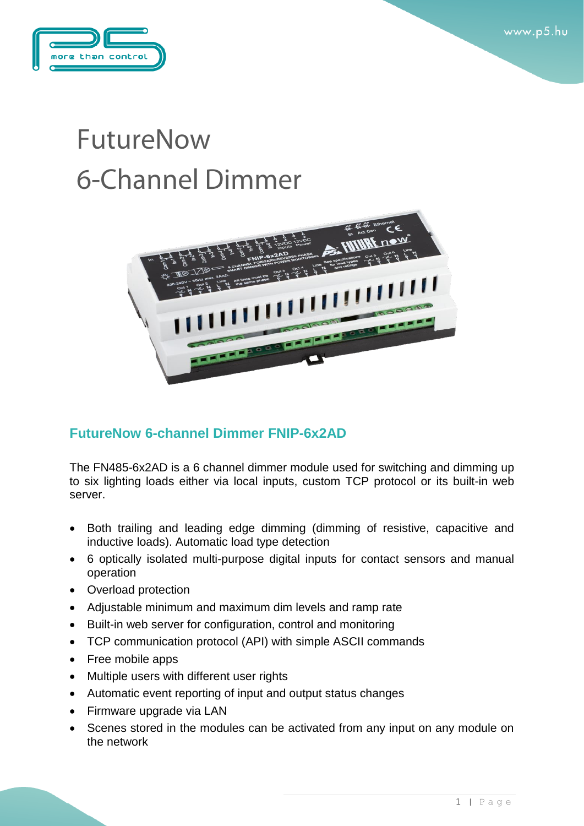

## **FutureNow 6-Channel Dimmer**



## **FutureNow 6-channel Dimmer FNIP-6x2AD**

The FN485-6x2AD is a 6 channel dimmer module used for switching and dimming up to six lighting loads either via local inputs, custom TCP protocol or its built-in web server.

- Both trailing and leading edge dimming (dimming of resistive, capacitive and inductive loads). Automatic load type detection
- 6 optically isolated multi-purpose digital inputs for contact sensors and manual operation
- Overload protection
- Adjustable minimum and maximum dim levels and ramp rate
- Built-in web server for configuration, control and monitoring
- TCP communication protocol (API) with simple ASCII commands
- Free mobile apps
- Multiple users with different user rights
- Automatic event reporting of input and output status changes
- Firmware upgrade via LAN
- Scenes stored in the modules can be activated from any input on any module on the network